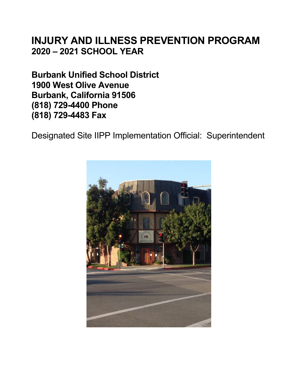# **INJURY AND ILLNESS PREVENTION PROGRAM 2020 – 2021 SCHOOL YEAR**

**Burbank Unified School District 1900 West Olive Avenue Burbank, California 91506 (818) 729-4400 Phone (818) 729-4483 Fax** 

Designated Site IIPP Implementation Official: Superintendent

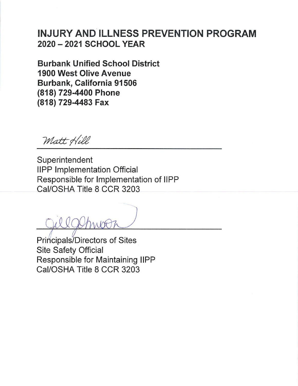# **INJURY AND ILLNESS PREVENTION PROGRAM** 2020 - 2021 SCHOOL YEAR

**Burbank Unified School District 1900 West Olive Avenue** Burbank, California 91506 (818) 729-4400 Phone (818) 729-4483 Fax

Matt Hill

Superintendent **IIPP Implementation Official** Responsible for Implementation of IIPP Cal/OSHA Title 8 CCR 3203

Principals/Directors of Sites **Site Safety Official** Responsible for Maintaining IIPP Cal/OSHA Title 8 CCR 3203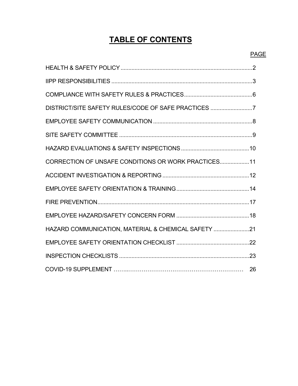# **TABLE OF CONTENTS**

| DISTRICT/SITE SAFETY RULES/CODE OF SAFE PRACTICES 7 |  |
|-----------------------------------------------------|--|
|                                                     |  |
|                                                     |  |
|                                                     |  |
| CORRECTION OF UNSAFE CONDITIONS OR WORK PRACTICES11 |  |
|                                                     |  |
|                                                     |  |
|                                                     |  |
|                                                     |  |
| HAZARD COMMUNICATION, MATERIAL & CHEMICAL SAFETY 21 |  |
|                                                     |  |
|                                                     |  |
|                                                     |  |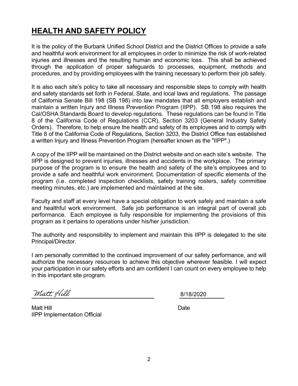# **HEALTH AND SAFETY POLICY**

It is the policy of the Burbank Unified School District and the District Offices to provide a safe and healthful work environment for all employees in order to minimize the risk of work-related injuries and illnesses and the resulting human and economic loss. This shall be achieved through the application of proper safeguards to processes, equipment, methods and procedures, and by providing employees with the training necessary to perform their job safely.

It is also each site's policy to take all necessary and responsible steps to comply with health and safety standards set forth in Federal, State, and local laws and regulations. The passage of California Senate Bill 198 (SB 198) into law mandates that all employers establish and maintain a written Injury and Illness Prevention Program (IIPP). SB 198 also requires the Cal/OSHA Standards Board to develop regulations. These regulations can be found in Title 8 of the California Code of Regulations (CCR), Section 3203 (General Industry Safety Orders). Therefore, to help ensure the health and safety of its employees and to comply with Title 8 of the California Code of Regulations, Section 3203, the District Office has established a written Injury and Illness Prevention Program (hereafter known as the "IIPP".)

A copy of the IIPP will be maintained on the District website and on each site's website. The IIPP is designed to prevent injuries, illnesses and accidents in the workplace. The primary purpose of the program is to ensure the health and safety of the site's employees and to provide a safe and healthful work environment. Documentation of specific elements of the program (i.e. completed inspection checklists, safety training rosters, safety committee meeting minutes, etc.) are implemented and maintained at the site.

Faculty and staff at every level have a special obligation to work safely and maintain a safe and healthful work environment. Safe job performance is an integral part of overall job performance. Each employee is fully responsible for implementing the provisions of this program as it pertains to operations under his/her jurisdiction.

The authority and responsibility to implement and maintain this IIPP is delegated to the site Principal/Director.

I am personally committed to the continued improvement of our safety performance, and will authorize the necessary resources to achieve this objective wherever feasible. I will expect your participation in our safety efforts and am confident I can count on every employee to help in this important site program.

Matt Hill

8/18/2020

Matt Hill **Date** IIPP Implementation Official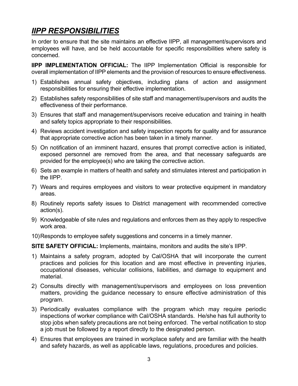# *IIPP RESPONSIBILITIES*

In order to ensure that the site maintains an effective IIPP, all management/supervisors and employees will have, and be held accountable for specific responsibilities where safety is concerned.

**IIPP IMPLEMENTATION OFFICIAL:** The IIPP Implementation Official is responsible for overall implementation of IIPP elements and the provision of resources to ensure effectiveness.

- 1) Establishes annual safety objectives, including plans of action and assignment responsibilities for ensuring their effective implementation.
- 2) Establishes safety responsibilities of site staff and management/supervisors and audits the effectiveness of their performance.
- 3) Ensures that staff and management/supervisors receive education and training in health and safety topics appropriate to their responsibilities.
- 4) Reviews accident investigation and safety inspection reports for quality and for assurance that appropriate corrective action has been taken in a timely manner.
- 5) On notification of an imminent hazard, ensures that prompt corrective action is initiated, exposed personnel are removed from the area, and that necessary safeguards are provided for the employee(s) who are taking the corrective action.
- 6) Sets an example in matters of health and safety and stimulates interest and participation in the IIPP.
- 7) Wears and requires employees and visitors to wear protective equipment in mandatory areas.
- 8) Routinely reports safety issues to District management with recommended corrective action(s).
- 9) Knowledgeable of site rules and regulations and enforces them as they apply to respective work area.
- 10) Responds to employee safety suggestions and concerns in a timely manner.

**SITE SAFETY OFFICIAL:** Implements, maintains, monitors and audits the site's IIPP.

- 1) Maintains a safety program, adopted by Cal/OSHA that will incorporate the current practices and policies for this location and are most effective in preventing injuries, occupational diseases, vehicular collisions, liabilities, and damage to equipment and material.
- 2) Consults directly with management/supervisors and employees on loss prevention matters, providing the guidance necessary to ensure effective administration of this program.
- 3) Periodically evaluates compliance with the program which may require periodic inspections of worker compliance with Cal/OSHA standards. He/she has full authority to stop jobs when safety precautions are not being enforced. The verbal notification to stop a job must be followed by a report directly to the designated person.
- 4) Ensures that employees are trained in workplace safety and are familiar with the health and safety hazards, as well as applicable laws, regulations, procedures and policies.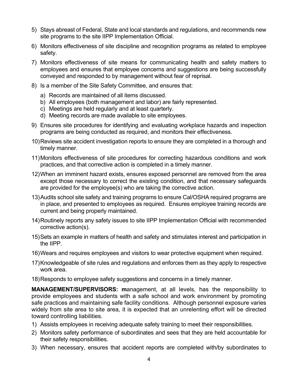- 5) Stays abreast of Federal, State and local standards and regulations, and recommends new site programs to the site IIPP Implementation Official.
- 6) Monitors effectiveness of site discipline and recognition programs as related to employee safety.
- 7) Monitors effectiveness of site means for communicating health and safety matters to employees and ensures that employee concerns and suggestions are being successfully conveyed and responded to by management without fear of reprisal.
- 8) Is a member of the Site Safety Committee, and ensures that:
	- a) Records are maintained of all items discussed.
	- b) All employees (both management and labor) are fairly represented.
	- c) Meetings are held regularly and at least quarterly.
	- d) Meeting records are made available to site employees.
- 9) Ensures site procedures for identifying and evaluating workplace hazards and inspection programs are being conducted as required, and monitors their effectiveness.
- 10) Reviews site accident investigation reports to ensure they are completed in a thorough and timely manner.
- 11) Monitors effectiveness of site procedures for correcting hazardous conditions and work practices, and that corrective action is completed in a timely manner.
- 12) When an imminent hazard exists, ensures exposed personnel are removed from the area except those necessary to correct the existing condition, and that necessary safeguards are provided for the employee(s) who are taking the corrective action.
- 13) Audits school site safety and training programs to ensure Cal/OSHA required programs are in place, and presented to employees as required. Ensures employee training records are current and being properly maintained.
- 14) Routinely reports any safety issues to site IIPP Implementation Official with recommended corrective action(s).
- 15) Sets an example in matters of health and safety and stimulates interest and participation in the IIPP.
- 16) Wears and requires employees and visitors to wear protective equipment when required.
- 17) Knowledgeable of site rules and regulations and enforces them as they apply to respective work area.
- 18) Responds to employee safety suggestions and concerns in a timely manner.

**MANAGEMENT/SUPERVISORS: m**anagement, at all levels, has the responsibility to provide employees and students with a safe school and work environment by promoting safe practices and maintaining safe facility conditions. Although personnel exposure varies widely from site area to site area, it is expected that an unrelenting effort will be directed toward controlling liabilities.

- 1) Assists employees in receiving adequate safety training to meet their responsibilities.
- 2) Monitors safety performance of subordinates and sees that they are held accountable for their safety responsibilities.
- 3) When necessary, ensures that accident reports are completed with/by subordinates to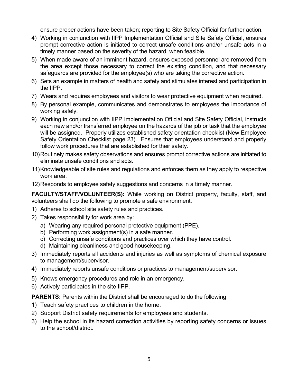ensure proper actions have been taken; reporting to Site Safety Official for further action.

- 4) Working in conjunction with IIPP Implementation Official and Site Safety Official, ensures prompt corrective action is initiated to correct unsafe conditions and/or unsafe acts in a timely manner based on the severity of the hazard, when feasible.
- 5) When made aware of an imminent hazard, ensures exposed personnel are removed from the area except those necessary to correct the existing condition, and that necessary safeguards are provided for the employee(s) who are taking the corrective action.
- 6) Sets an example in matters of health and safety and stimulates interest and participation in the IIPP.
- 7) Wears and requires employees and visitors to wear protective equipment when required.
- 8) By personal example, communicates and demonstrates to employees the importance of working safely.
- 9) Working in conjunction with IIPP Implementation Official and Site Safety Official, instructs each new and/or transferred employee on the hazards of the job or task that the employee will be assigned. Properly utilizes established safety orientation checklist (New Employee Safety Orientation Checklist page 23). Ensures that employees understand and properly follow work procedures that are established for their safety.
- 10) Routinely makes safety observations and ensures prompt corrective actions are initiated to eliminate unsafe conditions and acts.
- 11) Knowledgeable of site rules and regulations and enforces them as they apply to respective work area.
- 12) Responds to employee safety suggestions and concerns in a timely manner.

**FACULTY/STAFF/VOLUNTEER(S):** While working on District property, faculty, staff, and volunteers shall do the following to promote a safe environment.

- 1) Adheres to school site safety rules and practices.
- 2) Takes responsibility for work area by:
	- a) Wearing any required personal protective equipment (PPE).
	- b) Performing work assignment(s) in a safe manner.
	- c) Correcting unsafe conditions and practices over which they have control.
	- d) Maintaining cleanliness and good housekeeping.
- 3) Immediately reports all accidents and injuries as well as symptoms of chemical exposure to management/supervisor.
- 4) Immediately reports unsafe conditions or practices to management/supervisor.
- 5) Knows emergency procedures and role in an emergency.
- 6) Actively participates in the site IIPP.

**PARENTS:** Parents within the District shall be encouraged to do the following

- 1) Teach safety practices to children in the home.
- 2) Support District safety requirements for employees and students.
- 3) Help the school in its hazard correction activities by reporting safety concerns or issues to the school/district.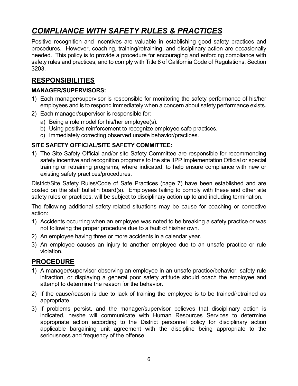# *COMPLIANCE WITH SAFETY RULES & PRACTICES*

Positive recognition and incentives are valuable in establishing good safety practices and procedures. However, coaching, training/retraining, and disciplinary action are occasionally needed. This policy is to provide a procedure for encouraging and enforcing compliance with safety rules and practices, and to comply with Title 8 of California Code of Regulations, Section 3203.

## **RESPONSIBILITIES**

### **MANAGER/SUPERVISORS:**

- 1) Each manager/supervisor is responsible for monitoring the safety performance of his/her employees and is to respond immediately when a concern about safety performance exists.
- 2) Each manager/supervisor is responsible for:
	- a) Being a role model for his/her employee(s).
	- b) Using positive reinforcement to recognize employee safe practices.
	- c) Immediately correcting observed unsafe behavior/practices.

#### **SITE SAFETY OFFICIAL/SITE SAFETY COMMITTEE:**

1) The Site Safety Official and/or site Safety Committee are responsible for recommending safety incentive and recognition programs to the site IIPP Implementation Official or special training or retraining programs, where indicated, to help ensure compliance with new or existing safety practices/procedures.

District/Site Safety Rules/Code of Safe Practices (page 7) have been established and are posted on the staff bulletin board(s). Employees failing to comply with these and other site safety rules or practices, will be subject to disciplinary action up to and including termination.

The following additional safety-related situations may be cause for coaching or corrective action:

- 1) Accidents occurring when an employee was noted to be breaking a safety practice or was not following the proper procedure due to a fault of his/her own.
- 2) An employee having three or more accidents in a calendar year.
- 3) An employee causes an injury to another employee due to an unsafe practice or rule violation.

- 1) A manager/supervisor observing an employee in an unsafe practice/behavior, safety rule infraction, or displaying a general poor safety attitude should coach the employee and attempt to determine the reason for the behavior.
- 2) If the cause/reason is due to lack of training the employee is to be trained/retrained as appropriate.
- 3) If problems persist, and the manager/supervisor believes that disciplinary action is indicated, he/she will communicate with Human Resources Services to determine appropriate action according to the District personnel policy for disciplinary action applicable bargaining unit agreement with the discipline being appropriate to the seriousness and frequency of the offense.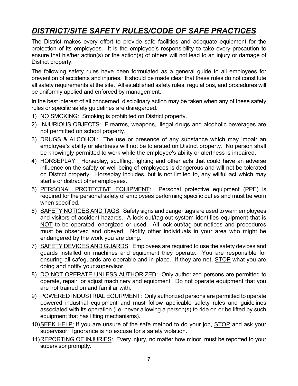# *DISTRICT/SITE SAFETY RULES/CODE OF SAFE PRACTICES*

The District makes every effort to provide safe facilities and adequate equipment for the protection of its employees. It is the employee's responsibility to take every precaution to ensure that his/her action(s) or the action(s) of others will not lead to an injury or damage of District property.

The following safety rules have been formulated as a general guide to all employees for prevention of accidents and injuries. It should be made clear that these rules do not constitute all safety requirements at the site. All established safety rules, regulations, and procedures will be uniformly applied and enforced by management.

In the best interest of all concerned, disciplinary action may be taken when any of these safety rules or specific safety guidelines are disregarded.

- 1) NO SMOKING: Smoking is prohibited on District property.
- 2) INJURIOUS OBJECTS: Firearms, weapons, illegal drugs and alcoholic beverages are not permitted on school property.
- 3) DRUGS & ALCOHOL: The use or presence of any substance which may impair an employee's ability or alertness will not be tolerated on District property. No person shall be knowingly permitted to work while the employee's ability or alertness is impaired.
- 4) HORSEPLAY: Horseplay, scuffling, fighting and other acts that could have an adverse influence on the safety or well-being of employees is dangerous and will not be tolerated on District property. Horseplay includes, but is not limited to, any willful act which may startle or distract other employees.
- 5) PERSONAL PROTECTIVE EQUIPMENT: Personal protective equipment (PPE) is required for the personal safety of employees performing specific duties and must be worn when specified.
- 6) SAFETY NOTICES AND TAGS: Safety signs and danger tags are used to warn employees and visitors of accident hazards. A lock-out/tag-out system identifies equipment that is NOT to be operated, energized or used. All lock-out/tag-out notices and procedures must be observed and obeyed. Notify other individuals in your area who might be endangered by the work you are doing.
- 7) SAFETY DEVICES AND GUARDS: Employees are required to use the safety devices and guards installed on machines and equipment they operate. You are responsible for ensuring all safeguards are operable and in place. If they are not, STOP what you are doing and notify your supervisor.
- 8) DO NOT OPERATE UNLESS AUTHORIZED: Only authorized persons are permitted to operate, repair, or adjust machinery and equipment. Do not operate equipment that you are not trained on and familiar with.
- 9) POWERED INDUSTRIAL EQUIPMENT: Only authorized persons are permitted to operate powered industrial equipment and must follow applicable safety rules and guidelines associated with its operation (i.e. never allowing a person(s) to ride on or be lifted by such equipment that has lifting mechanisms).
- 10) SEEK HELP: If you are unsure of the safe method to do your job, STOP and ask your supervisor. Ignorance is no excuse for a safety violation.
- 11) REPORTING OF INJURIES: Every injury, no matter how minor, must be reported to your supervisor promptly.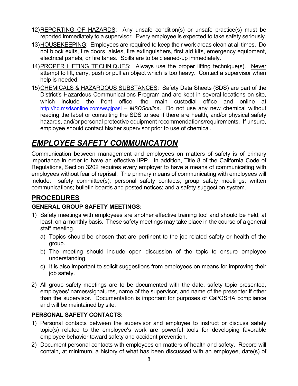- 12) REPORTING OF HAZARDS: Any unsafe condition(s) or unsafe practice(s) must be reported immediately to a supervisor. Every employee is expected to take safety seriously.
- 13) HOUSEKEEPING: Employees are required to keep their work areas clean at all times. Do not block exits, fire doors, aisles, fire extinguishers, first aid kits, emergency equipment, electrical panels, or fire lanes. Spills are to be cleaned-up immediately.
- 14) PROPER LIFTING TECHNIQUES: Always use the proper lifting technique(s). Never attempt to lift, carry, push or pull an object which is too heavy. Contact a supervisor when help is needed.
- 15) CHEMICALS & HAZARDOUS SUBSTANCES: Safety Data Sheets (SDS) are part of the District's Hazardous Communications Program and are kept in several locations on site, which include the front office, the main custodial office and online at http://hq.msdsonline.com/wsgjpasl – *MSDSonline*. Do not use any new chemical without reading the label or consulting the SDS to see if there are health, and/or physical safety hazards, and/or personal protective equipment recommendations/requirements. If unsure, employee should contact his/her supervisor prior to use of chemical.

# *EMPLOYEE SAFETY COMMUNICATION*

Communication between management and employees on matters of safety is of primary importance in order to have an effective IIPP. In addition, Title 8 of the California Code of Regulations, Section 3202 requires every employer to have a means of communicating with employees without fear of reprisal. The primary means of communicating with employees will include: safety committee(s); personal safety contacts; group safety meetings; written communications; bulletin boards and posted notices; and a safety suggestion system.

## **PROCEDURES**

### **GENERAL GROUP SAFETY MEETINGS:**

- 1) Safety meetings with employees are another effective training tool and should be held, at least, on a monthly basis. These safety meetings may take place in the course of a general staff meeting.
	- a) Topics should be chosen that are pertinent to the job-related safety or health of the group.
	- b) The meeting should include open discussion of the topic to ensure employee understanding.
	- c) It is also important to solicit suggestions from employees on means for improving their job safety.
- 2) All group safety meetings are to be documented with the date, safety topic presented, employees' names/signatures, name of the supervisor, and name of the presenter if other than the supervisor. Documentation is important for purposes of Cal/OSHA compliance and will be maintained by site.

### **PERSONAL SAFETY CONTACTS:**

- 1) Personal contacts between the supervisor and employee to instruct or discuss safety topic(s) related to the employee's work are powerful tools for developing favorable employee behavior toward safety and accident prevention.
- 2) Document personal contacts with employees on matters of health and safety. Record will contain, at minimum, a history of what has been discussed with an employee, date(s) of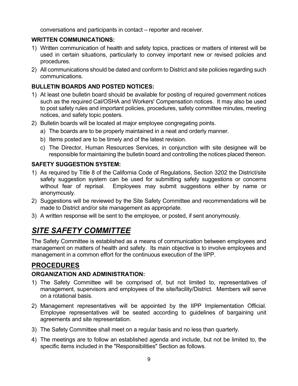conversations and participants in contact – reporter and receiver.

### **WRITTEN COMMUNICATIONS:**

- 1) Written communication of health and safety topics, practices or matters of interest will be used in certain situations, particularly to convey important new or revised policies and procedures.
- 2) All communications should be dated and conform to District and site policies regarding such communications.

### **BULLETIN BOARDS AND POSTED NOTICES:**

- 1) At least one bulletin board should be available for posting of required government notices such as the required Cal/OSHA and Workers' Compensation notices. It may also be used to post safety rules and important policies, procedures, safety committee minutes, meeting notices, and safety topic posters.
- 2) Bulletin boards will be located at major employee congregating points.
	- a) The boards are to be properly maintained in a neat and orderly manner.
	- b) Items posted are to be timely and of the latest revision.
	- c) The Director, Human Resources Services, in conjunction with site designee will be responsible for maintaining the bulletin board and controlling the notices placed thereon.

#### **SAFETY SUGGESTION SYSTEM:**

- 1) As required by Title 8 of the California Code of Regulations, Section 3202 the District/site safety suggestion system can be used for submitting safety suggestions or concerns without fear of reprisal. Employees may submit suggestions either by name or anonymously.
- 2) Suggestions will be reviewed by the Site Safety Committee and recommendations will be made to District and/or site management as appropriate.
- 3) A written response will be sent to the employee, or posted, if sent anonymously.

# *SITE SAFETY COMMITTEE*

The Safety Committee is established as a means of communication between employees and management on matters of health and safety. Its main objective is to involve employees and management in a common effort for the continuous execution of the IIPP.

## **PROCEDURES**

#### **ORGANIZATION AND ADMINISTRATION:**

- 1) The Safety Committee will be comprised of, but not limited to, representatives of management, supervisors and employees of the site/facility/District. Members will serve on a rotational basis.
- 2) Management representatives will be appointed by the IIPP Implementation Official. Employee representatives will be seated according to guidelines of bargaining unit agreements and site representation.
- 3) The Safety Committee shall meet on a regular basis and no less than quarterly.
- 4) The meetings are to follow an established agenda and include, but not be limited to, the specific items included in the "Responsibilities" Section as follows.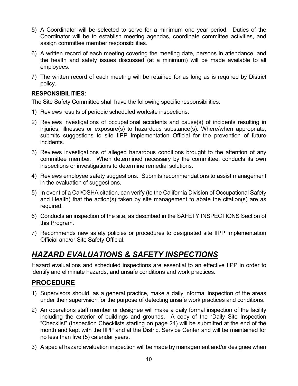- 5) A Coordinator will be selected to serve for a minimum one year period. Duties of the Coordinator will be to establish meeting agendas, coordinate committee activities, and assign committee member responsibilities.
- 6) A written record of each meeting covering the meeting date, persons in attendance, and the health and safety issues discussed (at a minimum) will be made available to all employees.
- 7) The written record of each meeting will be retained for as long as is required by District policy.

#### **RESPONSIBILITIES:**

The Site Safety Committee shall have the following specific responsibilities:

- 1) Reviews results of periodic scheduled worksite inspections.
- 2) Reviews investigations of occupational accidents and cause(s) of incidents resulting in injuries, illnesses or exposure(s) to hazardous substance(s). Where/when appropriate, submits suggestions to site IIPP Implementation Official for the prevention of future incidents.
- 3) Reviews investigations of alleged hazardous conditions brought to the attention of any committee member. When determined necessary by the committee, conducts its own inspections or investigations to determine remedial solutions.
- 4) Reviews employee safety suggestions. Submits recommendations to assist management in the evaluation of suggestions.
- 5) In event of a Cal/OSHA citation, can verify (to the California Division of Occupational Safety and Health) that the action(s) taken by site management to abate the citation(s) are as required.
- 6) Conducts an inspection of the site, as described in the SAFETY INSPECTIONS Section of this Program.
- 7) Recommends new safety policies or procedures to designated site IIPP Implementation Official and/or Site Safety Official.

# *HAZARD EVALUATIONS & SAFETY INSPECTIONS*

Hazard evaluations and scheduled inspections are essential to an effective IIPP in order to identify and eliminate hazards, and unsafe conditions and work practices.

- 1) Supervisors should, as a general practice, make a daily informal inspection of the areas under their supervision for the purpose of detecting unsafe work practices and conditions.
- 2) An operations staff member or designee will make a daily formal inspection of the facility including the exterior of buildings and grounds. A copy of the "Daily Site Inspection "Checklist" (Inspection Checklists starting on page 24) will be submitted at the end of the month and kept with the IIPP and at the District Service Center and will be maintained for no less than five (5) calendar years.
- 3) A special hazard evaluation inspection will be made by management and/or designee when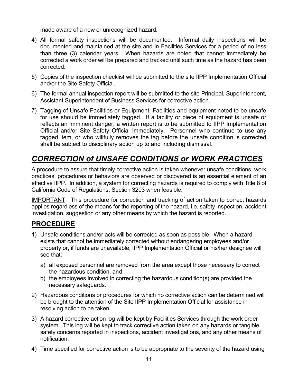made aware of a new or unrecognized hazard.

- 4) All formal safety inspections will be documented. Informal daily inspections will be documented and maintained at the site and in Facilities Services for a period of no less than three (3) calendar years. When hazards are noted that cannot immediately be corrected a work order will be prepared and tracked until such time as the hazard has been corrected.
- 5) Copies of the inspection checklist will be submitted to the site IIPP Implementation Official and/or the Site Safety Official.
- 6) The formal annual inspection report will be submitted to the site Principal, Superintendent, Assistant Superintendent of Business Services for corrective action.
- 7) Tagging of Unsafe Facilities or Equipment: Facilities and equipment noted to be unsafe for use should be immediately tagged. If a facility or piece of equipment is unsafe or reflects an imminent danger, a written report is to be submitted to IIPP Implementation Official and/or Site Safety Official immediately. Personnel who continue to use any tagged item, or who willfully removes the tag before the unsafe condition is corrected shall be subject to disciplinary action up to and including dismissal.

# *CORRECTION of UNSAFE CONDITIONS or WORK PRACTICES*

A procedure to assure that timely corrective action is taken whenever unsafe conditions, work practices, procedures or behaviors are observed or discovered is an essential element of an effective IIPP. In addition, a system for correcting hazards is required to comply with Title 8 of California Code of Regulations, Section 3203 when feasible.

IMPORTANT: This procedure for correction and tracking of action taken to correct hazards applies regardless of the means for the reporting of the hazard, i.e. safety inspection, accident investigation, suggestion or any other means by which the hazard is reported.

- 1) Unsafe conditions and/or acts will be corrected as soon as possible. When a hazard exists that cannot be immediately corrected without endangering employees and/or property or, if funds are unavailable, IIPP Implementation Official or his/her designee will see that:
	- a) all exposed personnel are removed from the area except those necessary to correct the hazardous condition, and
	- b) the employees involved in correcting the hazardous condition(s) are provided the necessary safeguards.
- 2) Hazardous conditions or procedures for which no corrective action can be determined will be brought to the attention of the Site IIPP Implementation Official for assistance in resolving action to be taken.
- 3) A hazard corrective action log will be kept by Facilities Services through the work order system. This log will be kept to track corrective action taken on any hazards or tangible safety concerns reported in inspections, accident investigations, and any other means of notification.
- 4) Time specified for corrective action is to be appropriate to the severity of the hazard using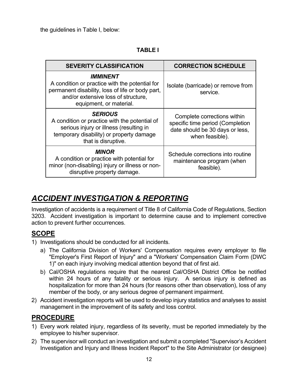the guidelines in Table I, below:

#### **TABLE I**

| <b>SEVERITY CLASSIFICATION</b>                                                                                                                                                                 | <b>CORRECTION SCHEDULE</b>                                                                                            |
|------------------------------------------------------------------------------------------------------------------------------------------------------------------------------------------------|-----------------------------------------------------------------------------------------------------------------------|
| <i><b>IMMINENT</b></i><br>A condition or practice with the potential for<br>permanent disability, loss of life or body part,<br>and/or extensive loss of structure,<br>equipment, or material. | Isolate (barricade) or remove from<br>service.                                                                        |
| <b>SERIOUS</b><br>A condition or practice with the potential of<br>serious injury or illness (resulting in<br>temporary disability) or property damage<br>that is disruptive.                  | Complete corrections within<br>specific time period (Completion<br>date should be 30 days or less,<br>when feasible). |
| <b>MINOR</b><br>A condition or practice with potential for<br>minor (non-disabling) injury or illness or non-<br>disruptive property damage.                                                   | Schedule corrections into routine<br>maintenance program (when<br>feasible).                                          |

# *ACCIDENT INVESTIGATION & REPORTING*

Investigation of accidents is a requirement of Title 8 of California Code of Regulations, Section 3203. Accident investigation is important to determine cause and to implement corrective action to prevent further occurrences.

### **SCOPE**

- 1) Investigations should be conducted for all incidents.
	- a) The California Division of Workers' Compensation requires every employer to file "Employer's First Report of Injury" and a "Workers' Compensation Claim Form (DWC 1)" on each injury involving medical attention beyond that of first aid.
	- b) Cal/OSHA regulations require that the nearest Cal/OSHA District Office be notified within 24 hours of any fatality or serious injury. A serious injury is defined as hospitalization for more than 24 hours (for reasons other than observation), loss of any member of the body, or any serious degree of permanent impairment.
- 2) Accident investigation reports will be used to develop injury statistics and analyses to assist management in the improvement of its safety and loss control.

- 1) Every work related injury, regardless of its severity, must be reported immediately by the employee to his/her supervisor.
- 2) The supervisor will conduct an investigation and submit a completed "Supervisor's Accident Investigation and Injury and Illness Incident Report" to the Site Administrator (or designee)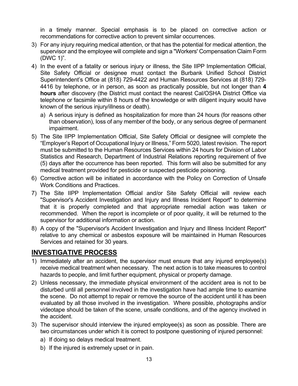in a timely manner. Special emphasis is to be placed on corrective action or recommendations for corrective action to prevent similar occurrences.

- 3) For any injury requiring medical attention, or that has the potential for medical attention, the supervisor and the employee will complete and sign a "Workers' Compensation Claim Form (DWC 1)".
- 4) In the event of a fatality or serious injury or illness, the Site IIPP Implementation Official, Site Safety Official or designee must contact the Burbank Unified School District Superintendent's Office at (818) 729-4422 and Human Resources Services at (818) 729- 4416 by telephone, or in person, as soon as practically possible, but not longer than **4 hours** after discovery (the District must contact the nearest Cal/OSHA District Office via telephone or facsimile within 8 hours of the knowledge or with diligent inquiry would have known of the serious injury/illness or death).
	- a) A serious injury is defined as hospitalization for more than 24 hours (for reasons other than observation), loss of any member of the body, or any serious degree of permanent impairment.
- 5) The Site IIPP Implementation Official, Site Safety Official or designee will complete the "Employer's Report of Occupational Injury or Illness," Form 5020, latest revision. The report must be submitted to the Human Resources Services within 24 hours for Division of Labor Statistics and Research, Department of Industrial Relations reporting requirement of five (5) days after the occurrence has been reported. This form will also be submitted for any medical treatment provided for pesticide or suspected pesticide poisoning.
- 6) Corrective action will be initiated in accordance with the Policy on Correction of Unsafe Work Conditions and Practices.
- 7) The Site IIPP Implementation Official and/or Site Safety Official will review each "Supervisor's Accident Investigation and Injury and Illness Incident Report" to determine that it is properly completed and that appropriate remedial action was taken or recommended. When the report is incomplete or of poor quality, it will be returned to the supervisor for additional information or action.
- 8) A copy of the "Supervisor's Accident Investigation and Injury and Illness Incident Report" relative to any chemical or asbestos exposure will be maintained in Human Resources Services and retained for 30 years.

### **INVESTIGATIVE PROCESS**

- 1) Immediately after an accident, the supervisor must ensure that any injured employee(s) receive medical treatment when necessary. The next action is to take measures to control hazards to people, and limit further equipment, physical or property damage.
- 2) Unless necessary, the immediate physical environment of the accident area is not to be disturbed until all personnel involved in the investigation have had ample time to examine the scene. Do not attempt to repair or remove the source of the accident until it has been evaluated by all those involved in the investigation. Where possible, photographs and/or videotape should be taken of the scene, unsafe conditions, and of the agency involved in the accident.
- 3) The supervisor should interview the injured employee(s) as soon as possible. There are two circumstances under which it is correct to postpone questioning of injured personnel:
	- a) If doing so delays medical treatment.
	- b) If the injured is extremely upset or in pain.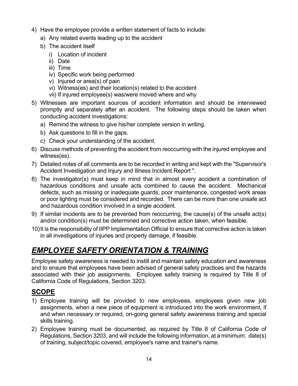- 4) Have the employee provide a written statement of facts to include:
	- a) Any related events leading up to the accident
	- b) The accident itself
		- i) Location of incident
		- ii) Date
		- iii) Time
		- iv) Specific work being performed
		- v) Injured or area(s) of pain
		- vi) Witness(es) and their location(s) related to the accident
		- vii) If injured employee(s) was/were moved where and why
- 5) Witnesses are important sources of accident information and should be interviewed promptly and separately after an accident. The following steps should be taken when conducting accident investigations:
	- a) Remind the witness to give his/her complete version in writing.
	- b) Ask questions to fill in the gaps.
	- c) Check your understanding of the accident.
- 6) Discuss methods of preventing the accident from reoccurring with the injured employee and witness(es).
- 7) Detailed notes of all comments are to be recorded in writing and kept with the "Supervisor's Accident Investigation and Injury and Illness Incident Report ".
- 8) The investigator(s) must keep in mind that in almost every accident a combination of hazardous conditions and unsafe acts combined to cause the accident. Mechanical defects, such as missing or inadequate guards, poor maintenance, congested work areas or poor lighting must be considered and recorded. There can be more than one unsafe act and hazardous condition involved in a single accident.
- 9) If similar incidents are to be prevented from reoccurring, the cause(s) of the unsafe act(s) and/or condition(s) must be determined and corrective action taken, when feasible.
- 10) It is the responsibility of IIPP Implementation Official to ensure that corrective action is taken in all investigations of injuries and property damage, if feasible.

# *EMPLOYEE SAFETY ORIENTATION & TRAINING*

Employee safety awareness is needed to instill and maintain safety education and awareness and to ensure that employees have been advised of general safety practices and the hazards associated with their job assignments. Employee safety training is required by Title 8 of California Code of Regulations, Section 3203.

## **SCOPE**

- 1) Employee training will be provided to new employees, employees given new job assignments, when a new piece of equipment is introduced into the work environment, if and when necessary or required, on-going general safety awareness training and special skills training.
- 2) Employee training must be documented, as required by Title 8 of California Code of Regulations, Section 3203, and will include the following information, at a minimum: date(s) of training, subject/topic covered, employee's name and trainer's name.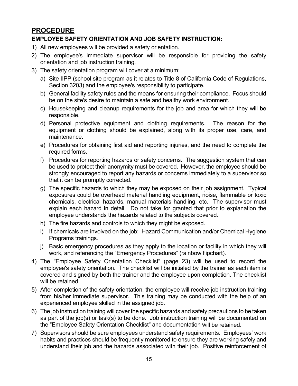### **PROCEDURE**

### **EMPLOYEE SAFETY ORIENTATION AND JOB SAFETY INSTRUCTION:**

- 1) All new employees will be provided a safety orientation.
- 2) The employee's immediate supervisor will be responsible for providing the safety orientation and job instruction training.
- 3) The safety orientation program will cover at a minimum:
	- a) Site IIPP (school site program as it relates to Title 8 of California Code of Regulations, Section 3203) and the employee's responsibility to participate.
	- b) General facility safety rules and the means for ensuring their compliance. Focus should be on the site's desire to maintain a safe and healthy work environment.
	- c) Housekeeping and cleanup requirements for the job and area for which they will be responsible.
	- d) Personal protective equipment and clothing requirements. The reason for the equipment or clothing should be explained, along with its proper use, care, and maintenance.
	- e) Procedures for obtaining first aid and reporting injuries, and the need to complete the required forms.
	- f) Procedures for reporting hazards or safety concerns. The suggestion system that can be used to protect their anonymity must be covered. However, the employee should be strongly encouraged to report any hazards or concerns immediately to a supervisor so that it can be promptly corrected.
	- g) The specific hazards to which they may be exposed on their job assignment. Typical exposures could be overhead material handling equipment, noise, flammable or toxic chemicals, electrical hazards, manual materials handling, etc. The supervisor must explain each hazard in detail. Do not take for granted that prior to explanation the employee understands the hazards related to the subjects covered.
	- h) The fire hazards and controls to which they might be exposed.
	- i) If chemicals are involved on the job: Hazard Communication and/or Chemical Hygiene Programs trainings.
	- j) Basic emergency procedures as they apply to the location or facility in which they will work, and referencing the "Emergency Procedures" (rainbow flipchart).
- 4) The "Employee Safety Orientation Checklist" (page 23) will be used to record the employee's safety orientation. The checklist will be initialed by the trainer as each item is covered and signed by both the trainer and the employee upon completion. The checklist will be retained.
- 5) After completion of the safety orientation, the employee will receive job instruction training from his/her immediate supervisor. This training may be conducted with the help of an experienced employee skilled in the assigned job.
- 6) The job instruction training will cover the specific hazards and safety precautions to be taken as part of the job(s) or task(s) to be done. Job instruction training will be documented on the "Employee Safety Orientation Checklist" and documentation will be retained.
- 7) Supervisors should be sure employees understand safety requirements. Employees' work habits and practices should be frequently monitored to ensure they are working safely and understand their job and the hazards associated with their job. Positive reinforcement of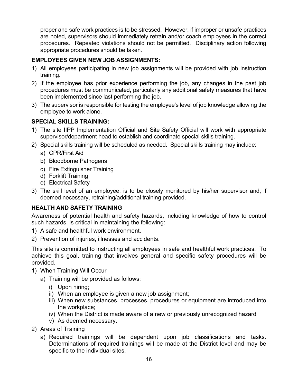proper and safe work practices is to be stressed. However, if improper or unsafe practices are noted, supervisors should immediately retrain and/or coach employees in the correct procedures. Repeated violations should not be permitted. Disciplinary action following appropriate procedures should be taken.

### **EMPLOYEES GIVEN NEW JOB ASSIGNMENTS:**

- 1) All employees participating in new job assignments will be provided with job instruction training.
- 2) If the employee has prior experience performing the job, any changes in the past job procedures must be communicated, particularly any additional safety measures that have been implemented since last performing the job.
- 3) The supervisor is responsible for testing the employee's level of job knowledge allowing the employee to work alone.

### **SPECIAL SKILLS TRAINING:**

- 1) The site IIPP Implementation Official and Site Safety Official will work with appropriate supervisor/department head to establish and coordinate special skills training.
- 2) Special skills training will be scheduled as needed. Special skills training may include:
	- a) CPR/First Aid
	- b) Bloodborne Pathogens
	- c) Fire Extinguisher Training
	- d) Forklift Training
	- e) Electrical Safety
- 3) The skill level of an employee, is to be closely monitored by his/her supervisor and, if deemed necessary, retraining/additional training provided.

### **HEALTH AND SAFETY TRAINING**

Awareness of potential health and safety hazards, including knowledge of how to control such hazards, is critical in maintaining the following:

- 1) A safe and healthful work environment.
- 2) Prevention of injuries, illnesses and accidents.

This site is committed to instructing all employees in safe and healthful work practices. To achieve this goal, training that involves general and specific safety procedures will be provided.

- 1) When Training Will Occur
	- a) Training will be provided as follows:
		- i) Upon hiring;
		- ii) When an employee is given a new job assignment;
		- iii) When new substances, processes, procedures or equipment are introduced into the workplace;
		- iv) When the District is made aware of a new or previously unrecognized hazard
		- v) As deemed necessary.
- 2) Areas of Training
	- a) Required trainings will be dependent upon job classifications and tasks. Determinations of required trainings will be made at the District level and may be specific to the individual sites.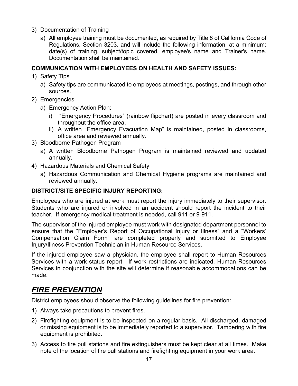- 3) Documentation of Training
	- a) All employee training must be documented, as required by Title 8 of California Code of Regulations, Section 3203, and will include the following information, at a minimum: date(s) of training, subject/topic covered, employee's name and Trainer's name. Documentation shall be maintained.

#### **COMMUNICATION WITH EMPLOYEES ON HEALTH AND SAFETY ISSUES:**

- 1) Safety Tips
	- a) Safety tips are communicated to employees at meetings, postings, and through other sources.
- 2) Emergencies
	- a) Emergency Action Plan:
		- i) "Emergency Procedures" (rainbow flipchart) are posted in every classroom and throughout the office area.
		- ii) A written "Emergency Evacuation Map" is maintained, posted in classrooms, office area and reviewed annually.
- 3) Bloodborne Pathogen Program
	- a) A written Bloodborne Pathogen Program is maintained reviewed and updated annually.
- 4) Hazardous Materials and Chemical Safety
	- a) Hazardous Communication and Chemical Hygiene programs are maintained and reviewed annually.

#### **DISTRICT/SITE SPECIFIC INJURY REPORTING:**

Employees who are injured at work must report the injury immediately to their supervisor. Students who are injured or involved in an accident should report the incident to their teacher. If emergency medical treatment is needed, call 911 or 9-911.

The supervisor of the injured employee must work with designated department personnel to ensure that the "Employer's Report of Occupational Injury or Illness" and a "Workers' Compensation Claim Form" are completed properly and submitted to Employee Injury/Illness Prevention Technician in Human Resource Services.

If the injured employee saw a physician, the employee shall report to Human Resources Services with a work status report. If work restrictions are indicated, Human Resources Services in conjunction with the site will determine if reasonable accommodations can be made.

## *FIRE PREVENTION*

District employees should observe the following guidelines for fire prevention:

- 1) Always take precautions to prevent fires.
- 2) Firefighting equipment is to be inspected on a regular basis. All discharged, damaged or missing equipment is to be immediately reported to a supervisor. Tampering with fire equipment is prohibited.
- 3) Access to fire pull stations and fire extinguishers must be kept clear at all times. Make note of the location of fire pull stations and firefighting equipment in your work area.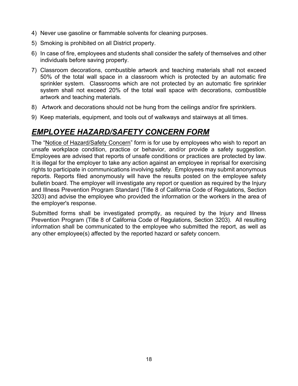- 4) Never use gasoline or flammable solvents for cleaning purposes.
- 5) Smoking is prohibited on all District property.
- 6) In case of fire, employees and students shall consider the safety of themselves and other individuals before saving property.
- 7) Classroom decorations, combustible artwork and teaching materials shall not exceed 50% of the total wall space in a classroom which is protected by an automatic fire sprinkler system. Classrooms which are not protected by an automatic fire sprinkler system shall not exceed 20% of the total wall space with decorations, combustible artwork and teaching materials.
- 8) Artwork and decorations should not be hung from the ceilings and/or fire sprinklers.
- 9) Keep materials, equipment, and tools out of walkways and stairways at all times.

# *EMPLOYEE HAZARD/SAFETY CONCERN FORM*

The "Notice of Hazard/Safety Concern" form is for use by employees who wish to report an unsafe workplace condition, practice or behavior, and/or provide a safety suggestion. Employees are advised that reports of unsafe conditions or practices are protected by law. It is illegal for the employer to take any action against an employee in reprisal for exercising rights to participate in communications involving safety. Employees may submit anonymous reports. Reports filed anonymously will have the results posted on the employee safety bulletin board. The employer will investigate any report or question as required by the Injury and Illness Prevention Program Standard (Title 8 of California Code of Regulations, Section 3203) and advise the employee who provided the information or the workers in the area of the employer's response.

Submitted forms shall be investigated promptly, as required by the Injury and Illness Prevention Program (Title 8 of California Code of Regulations, Section 3203). All resulting information shall be communicated to the employee who submitted the report, as well as any other employee(s) affected by the reported hazard or safety concern.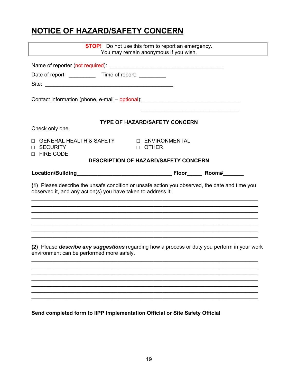# **NOTICE OF HAZARD/SAFETY CONCERN**

| <b>STOP!</b> Do not use this form to report an emergency.<br>You may remain anonymous if you wish. |                                                                                               |  |  |
|----------------------------------------------------------------------------------------------------|-----------------------------------------------------------------------------------------------|--|--|
|                                                                                                    |                                                                                               |  |  |
| Date of report: Time of report:                                                                    |                                                                                               |  |  |
|                                                                                                    |                                                                                               |  |  |
|                                                                                                    | Contact information (phone, e-mail - optional): ________________________________              |  |  |
|                                                                                                    | <b>TYPE OF HAZARD/SAFETY CONCERN</b>                                                          |  |  |
| Check only one.                                                                                    |                                                                                               |  |  |
| П<br><b>SECURITY</b><br>П<br>□ FIRE CODE                                                           | D OTHER                                                                                       |  |  |
|                                                                                                    | <b>DESCRIPTION OF HAZARD/SAFETY CONCERN</b>                                                   |  |  |
|                                                                                                    |                                                                                               |  |  |
| observed it, and any action(s) you have taken to address it:                                       | (1) Please describe the unsafe condition or unsafe action you observed, the date and time you |  |  |
|                                                                                                    | (2) Please describe any suggestions regarding how a process or duty you perform in your work  |  |  |
| environment can be performed more safely.                                                          |                                                                                               |  |  |
|                                                                                                    |                                                                                               |  |  |
|                                                                                                    |                                                                                               |  |  |
|                                                                                                    |                                                                                               |  |  |
|                                                                                                    |                                                                                               |  |  |
| Send completed form to IIPP Implementation Official or Site Safety Official                        |                                                                                               |  |  |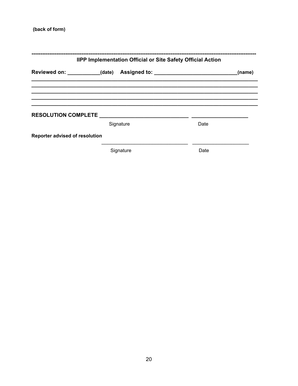#### (back of form)

|                                | IIPP Implementation Official or Site Safety Official Action |      |        |  |
|--------------------------------|-------------------------------------------------------------|------|--------|--|
|                                |                                                             |      | (name) |  |
|                                |                                                             |      |        |  |
| <b>RESOLUTION COMPLETE</b>     |                                                             |      |        |  |
|                                | Signature                                                   | Date |        |  |
| Reporter advised of resolution |                                                             |      |        |  |
|                                | Signature                                                   | Date |        |  |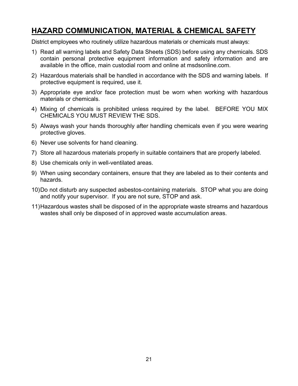## **HAZARD COMMUNICATION, MATERIAL & CHEMICAL SAFETY**

District employees who routinely utilize hazardous materials or chemicals must always:

- 1) Read all warning labels and Safety Data Sheets (SDS) before using any chemicals. SDS contain personal protective equipment information and safety information and are available in the office, main custodial room and online at msdsonline.com.
- 2) Hazardous materials shall be handled in accordance with the SDS and warning labels. If protective equipment is required, use it.
- 3) Appropriate eye and/or face protection must be worn when working with hazardous materials or chemicals.
- 4) Mixing of chemicals is prohibited unless required by the label. BEFORE YOU MIX CHEMICALS YOU MUST REVIEW THE SDS.
- 5) Always wash your hands thoroughly after handling chemicals even if you were wearing protective gloves.
- 6) Never use solvents for hand cleaning.
- 7) Store all hazardous materials properly in suitable containers that are properly labeled.
- 8) Use chemicals only in well-ventilated areas.
- 9) When using secondary containers, ensure that they are labeled as to their contents and hazards.
- 10) Do not disturb any suspected asbestos-containing materials. STOP what you are doing and notify your supervisor. If you are not sure, STOP and ask.
- 11) Hazardous wastes shall be disposed of in the appropriate waste streams and hazardous wastes shall only be disposed of in approved waste accumulation areas.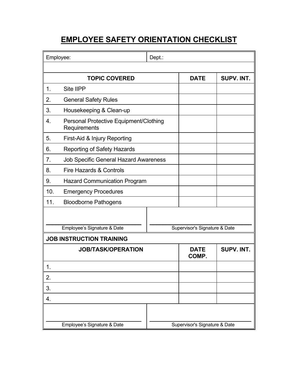# **EMPLOYEE SAFETY ORIENTATION CHECKLIST**

| Employee:                       |                                                        | Dept.: |                               |            |
|---------------------------------|--------------------------------------------------------|--------|-------------------------------|------------|
|                                 |                                                        |        |                               |            |
|                                 | <b>TOPIC COVERED</b>                                   |        | <b>DATE</b>                   | SUPV. INT. |
| 1.                              | <b>Site IIPP</b>                                       |        |                               |            |
| 2.                              | <b>General Safety Rules</b>                            |        |                               |            |
| 3.                              | Housekeeping & Clean-up                                |        |                               |            |
| 4.                              | Personal Protective Equipment/Clothing<br>Requirements |        |                               |            |
| 5.                              | First-Aid & Injury Reporting                           |        |                               |            |
| 6.                              | <b>Reporting of Safety Hazards</b>                     |        |                               |            |
| 7.                              | <b>Job Specific General Hazard Awareness</b>           |        |                               |            |
| 8.                              | <b>Fire Hazards &amp; Controls</b>                     |        |                               |            |
| 9.                              | <b>Hazard Communication Program</b>                    |        |                               |            |
| 10.                             | <b>Emergency Procedures</b>                            |        |                               |            |
| 11.                             | <b>Bloodborne Pathogens</b>                            |        |                               |            |
|                                 |                                                        |        |                               |            |
| Employee's Signature & Date     |                                                        |        | Supervisor's Signature & Date |            |
| <b>JOB INSTRUCTION TRAINING</b> |                                                        |        |                               |            |
| <b>JOB/TASK/OPERATION</b>       |                                                        |        | <b>DATE</b><br>COMP.          | SUPV. INT. |
| ι,                              |                                                        |        |                               |            |
| 2.                              |                                                        |        |                               |            |
| 3.                              |                                                        |        |                               |            |
| 4.                              |                                                        |        |                               |            |
|                                 |                                                        |        |                               |            |
| Employee's Signature & Date     |                                                        |        | Supervisor's Signature & Date |            |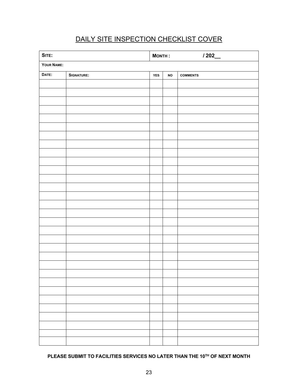# DAILY SITE INSPECTION CHECKLIST COVER

| SITE:      |                   | $M$ ONTH $:$ |               | 1202            |
|------------|-------------------|--------------|---------------|-----------------|
| YOUR NAME: |                   |              |               |                 |
| DATE:      | <b>SIGNATURE:</b> | ${\tt YES}$  | $\mathsf{NO}$ | <b>COMMENTS</b> |
|            |                   |              |               |                 |
|            |                   |              |               |                 |
|            |                   |              |               |                 |
|            |                   |              |               |                 |
|            |                   |              |               |                 |
|            |                   |              |               |                 |
|            |                   |              |               |                 |
|            |                   |              |               |                 |
|            |                   |              |               |                 |
|            |                   |              |               |                 |
|            |                   |              |               |                 |
|            |                   |              |               |                 |
|            |                   |              |               |                 |
|            |                   |              |               |                 |
|            |                   |              |               |                 |
|            |                   |              |               |                 |
|            |                   |              |               |                 |
|            |                   |              |               |                 |
|            |                   |              |               |                 |
|            |                   |              |               |                 |
|            |                   |              |               |                 |
|            |                   |              |               |                 |
|            |                   |              |               |                 |
|            |                   |              |               |                 |
|            |                   |              |               |                 |
|            |                   |              |               |                 |
|            |                   |              |               |                 |
|            |                   |              |               |                 |
|            |                   |              |               |                 |
|            |                   |              |               |                 |
|            |                   |              |               |                 |

### **PLEASE SUBMIT TO FACILITIES SERVICES NO LATER THAN THE 10TH OF NEXT MONTH**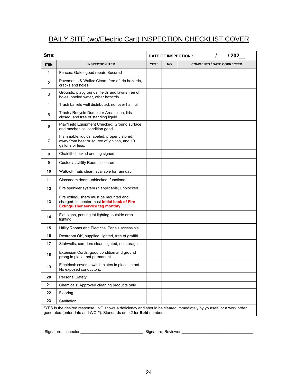## DAILY SITE (wo/Electric Cart) INSPECTION CHECKLIST COVER

| YES*<br><b>COMMENTS / DATE CORRECTED</b><br><b>ITEM</b><br><b>INSPECTION ITEM</b><br><b>NO</b><br>$\mathbf{1}$<br>Fences, Gates good repair. Secured<br>Pavements & Walks: Clean, free of trip hazards,<br>$\mathbf{2}$<br>cracks and holes<br>Grounds: playgrounds, fields and lawns free of<br>3<br>holes, pooled water, other hazards.<br>Trash barrels well distributed, not over half full<br>4<br>Trash / Recycle Dumpster Area clean, lids<br>5<br>closed, and free of standing liquid.<br>Play/Field Equipment Checked: Ground surface<br>6<br>and mechanical condition good.<br>Flammable liquids labeled, properly stored,<br>away from heat or source of ignition, and 10<br>7<br>gallons or less.<br>Chairlift checked and log signed<br>8<br>9<br>Custodial/Utility Rooms secured.<br>10<br>Walk-off mats clean, available for rain day.<br>11<br>Classroom doors unblocked, functional.<br>Fire sprinkler system (if applicable) unblocked.<br>12<br>Fire extinguishers must be mounted and<br>13<br>charged. Inspector must initial back of Fire<br><b>Extinguisher service tag monthly</b><br>Exit signs, parking lot lighting, outside area<br>14<br>lighting<br>15<br>Utility Rooms and Electrical Panels accessible.<br>16<br>Restroom OK, supplied, lighted, free of graffiti.<br>17<br>Stairwells, corridors clean, lighted, no storage<br>Extension Cords: good condition and ground<br>18<br>prong in place, not permanent<br>Electrical: covers, switch plates in place, intact.<br>19<br>No exposed conductors,<br>20<br>Personal Safety<br>21<br>Chemicals: Approved cleaning products only | SITE: |  | / 202<br>1<br>DATE OF INSPECTION: |
|-----------------------------------------------------------------------------------------------------------------------------------------------------------------------------------------------------------------------------------------------------------------------------------------------------------------------------------------------------------------------------------------------------------------------------------------------------------------------------------------------------------------------------------------------------------------------------------------------------------------------------------------------------------------------------------------------------------------------------------------------------------------------------------------------------------------------------------------------------------------------------------------------------------------------------------------------------------------------------------------------------------------------------------------------------------------------------------------------------------------------------------------------------------------------------------------------------------------------------------------------------------------------------------------------------------------------------------------------------------------------------------------------------------------------------------------------------------------------------------------------------------------------------------------------------------------------------------------------------------------------|-------|--|-----------------------------------|
|                                                                                                                                                                                                                                                                                                                                                                                                                                                                                                                                                                                                                                                                                                                                                                                                                                                                                                                                                                                                                                                                                                                                                                                                                                                                                                                                                                                                                                                                                                                                                                                                                       |       |  |                                   |
|                                                                                                                                                                                                                                                                                                                                                                                                                                                                                                                                                                                                                                                                                                                                                                                                                                                                                                                                                                                                                                                                                                                                                                                                                                                                                                                                                                                                                                                                                                                                                                                                                       |       |  |                                   |
|                                                                                                                                                                                                                                                                                                                                                                                                                                                                                                                                                                                                                                                                                                                                                                                                                                                                                                                                                                                                                                                                                                                                                                                                                                                                                                                                                                                                                                                                                                                                                                                                                       |       |  |                                   |
|                                                                                                                                                                                                                                                                                                                                                                                                                                                                                                                                                                                                                                                                                                                                                                                                                                                                                                                                                                                                                                                                                                                                                                                                                                                                                                                                                                                                                                                                                                                                                                                                                       |       |  |                                   |
|                                                                                                                                                                                                                                                                                                                                                                                                                                                                                                                                                                                                                                                                                                                                                                                                                                                                                                                                                                                                                                                                                                                                                                                                                                                                                                                                                                                                                                                                                                                                                                                                                       |       |  |                                   |
|                                                                                                                                                                                                                                                                                                                                                                                                                                                                                                                                                                                                                                                                                                                                                                                                                                                                                                                                                                                                                                                                                                                                                                                                                                                                                                                                                                                                                                                                                                                                                                                                                       |       |  |                                   |
|                                                                                                                                                                                                                                                                                                                                                                                                                                                                                                                                                                                                                                                                                                                                                                                                                                                                                                                                                                                                                                                                                                                                                                                                                                                                                                                                                                                                                                                                                                                                                                                                                       |       |  |                                   |
|                                                                                                                                                                                                                                                                                                                                                                                                                                                                                                                                                                                                                                                                                                                                                                                                                                                                                                                                                                                                                                                                                                                                                                                                                                                                                                                                                                                                                                                                                                                                                                                                                       |       |  |                                   |
|                                                                                                                                                                                                                                                                                                                                                                                                                                                                                                                                                                                                                                                                                                                                                                                                                                                                                                                                                                                                                                                                                                                                                                                                                                                                                                                                                                                                                                                                                                                                                                                                                       |       |  |                                   |
|                                                                                                                                                                                                                                                                                                                                                                                                                                                                                                                                                                                                                                                                                                                                                                                                                                                                                                                                                                                                                                                                                                                                                                                                                                                                                                                                                                                                                                                                                                                                                                                                                       |       |  |                                   |
|                                                                                                                                                                                                                                                                                                                                                                                                                                                                                                                                                                                                                                                                                                                                                                                                                                                                                                                                                                                                                                                                                                                                                                                                                                                                                                                                                                                                                                                                                                                                                                                                                       |       |  |                                   |
|                                                                                                                                                                                                                                                                                                                                                                                                                                                                                                                                                                                                                                                                                                                                                                                                                                                                                                                                                                                                                                                                                                                                                                                                                                                                                                                                                                                                                                                                                                                                                                                                                       |       |  |                                   |
|                                                                                                                                                                                                                                                                                                                                                                                                                                                                                                                                                                                                                                                                                                                                                                                                                                                                                                                                                                                                                                                                                                                                                                                                                                                                                                                                                                                                                                                                                                                                                                                                                       |       |  |                                   |
|                                                                                                                                                                                                                                                                                                                                                                                                                                                                                                                                                                                                                                                                                                                                                                                                                                                                                                                                                                                                                                                                                                                                                                                                                                                                                                                                                                                                                                                                                                                                                                                                                       |       |  |                                   |
|                                                                                                                                                                                                                                                                                                                                                                                                                                                                                                                                                                                                                                                                                                                                                                                                                                                                                                                                                                                                                                                                                                                                                                                                                                                                                                                                                                                                                                                                                                                                                                                                                       |       |  |                                   |
|                                                                                                                                                                                                                                                                                                                                                                                                                                                                                                                                                                                                                                                                                                                                                                                                                                                                                                                                                                                                                                                                                                                                                                                                                                                                                                                                                                                                                                                                                                                                                                                                                       |       |  |                                   |
|                                                                                                                                                                                                                                                                                                                                                                                                                                                                                                                                                                                                                                                                                                                                                                                                                                                                                                                                                                                                                                                                                                                                                                                                                                                                                                                                                                                                                                                                                                                                                                                                                       |       |  |                                   |
|                                                                                                                                                                                                                                                                                                                                                                                                                                                                                                                                                                                                                                                                                                                                                                                                                                                                                                                                                                                                                                                                                                                                                                                                                                                                                                                                                                                                                                                                                                                                                                                                                       |       |  |                                   |
|                                                                                                                                                                                                                                                                                                                                                                                                                                                                                                                                                                                                                                                                                                                                                                                                                                                                                                                                                                                                                                                                                                                                                                                                                                                                                                                                                                                                                                                                                                                                                                                                                       |       |  |                                   |
|                                                                                                                                                                                                                                                                                                                                                                                                                                                                                                                                                                                                                                                                                                                                                                                                                                                                                                                                                                                                                                                                                                                                                                                                                                                                                                                                                                                                                                                                                                                                                                                                                       |       |  |                                   |
|                                                                                                                                                                                                                                                                                                                                                                                                                                                                                                                                                                                                                                                                                                                                                                                                                                                                                                                                                                                                                                                                                                                                                                                                                                                                                                                                                                                                                                                                                                                                                                                                                       |       |  |                                   |
|                                                                                                                                                                                                                                                                                                                                                                                                                                                                                                                                                                                                                                                                                                                                                                                                                                                                                                                                                                                                                                                                                                                                                                                                                                                                                                                                                                                                                                                                                                                                                                                                                       |       |  |                                   |
| 22<br>Flooring                                                                                                                                                                                                                                                                                                                                                                                                                                                                                                                                                                                                                                                                                                                                                                                                                                                                                                                                                                                                                                                                                                                                                                                                                                                                                                                                                                                                                                                                                                                                                                                                        |       |  |                                   |
| 23<br>Sanitation                                                                                                                                                                                                                                                                                                                                                                                                                                                                                                                                                                                                                                                                                                                                                                                                                                                                                                                                                                                                                                                                                                                                                                                                                                                                                                                                                                                                                                                                                                                                                                                                      |       |  |                                   |

Signature, Inspector \_\_\_\_\_\_\_\_\_\_\_\_\_\_\_\_\_\_\_\_\_\_\_\_\_\_\_\_\_ Signature, Reviewer \_\_\_\_\_\_\_\_\_\_\_\_\_\_\_\_\_\_\_\_\_\_\_\_\_\_\_\_\_\_\_\_\_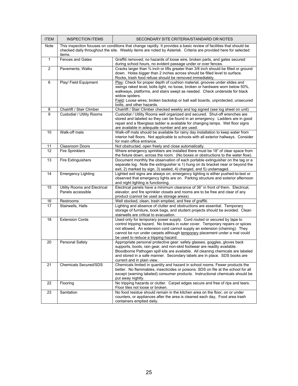| <b>ITEM</b>    | <b>INSPECTION ITEMS</b>                           | SECONDARY SITE CRITERIA/STANDARD OR NOTES                                                                                                                                                                                                                                                                                                                                   |
|----------------|---------------------------------------------------|-----------------------------------------------------------------------------------------------------------------------------------------------------------------------------------------------------------------------------------------------------------------------------------------------------------------------------------------------------------------------------|
| Note           | items.                                            | This inspection focuses on conditions that change rapidly. It provides a basic review of facilities that should be<br>checked daily throughout the site. Weekly items are noted by Asterisk. Criteria are provided here for selected                                                                                                                                        |
| $\mathbf{1}$   | <b>Fences and Gates</b>                           | Graffiti removed; no hazards of loose wire, broken parts, and gates secured<br>during school hours, no evident passage under or over fences.                                                                                                                                                                                                                                |
| $\overline{2}$ | Pavements, Walks                                  | Cracks larger than 3/4 inch or lifts greater than 3/8 inch should be filled or ground<br>down. Holes bigger than 2 inches across should be filled level to surface.<br>Rocks, trash food refuse should be removed immediately.                                                                                                                                              |
| 6              | Play/ Field Equipment                             | Play: Check for proper depth of cushion material, grooves under slides and<br>swings raked level, bolts tight, no loose, broken or hardware worn below 50%,<br>walkways, platforms, and stairs swept as needed. Check underside for black<br>widow spiders.<br>Field: Loose wires, broken backstop or ball wall boards, unprotected, unsecured<br>bolts, and other hazards. |
| 8              | Chairlift / Stair Climber                         | Chairlift / Stair Climber checked weekly and log signed (see log sheet on unit)                                                                                                                                                                                                                                                                                             |
| 9              | Custodial / Utility Rooms                         | Custodial / Utility Rooms well organized and secured. Shut-off wrenches are<br>stored and labeled so they can be found in an emergency. Ladders are in good<br>repair and a fiberglass ladder is available for changing lamps. Wet floor signs<br>are available in adequate number and are used.                                                                            |
| 10             | Walk-off mats                                     | Walk-off mats should be available for rainy day installation to keep water from<br>interior hall floors. Not applicable to schools with all exterior hallways. Consider<br>for main office entrance.                                                                                                                                                                        |
| 11             | <b>Classroom Doors</b>                            | Not obstructed, open freely and close automatically.                                                                                                                                                                                                                                                                                                                        |
| 12             | <b>Fire Sprinklers</b>                            | Where emergency sprinklers are installed there must be 18" of clear space from<br>the fixture down, across the room. (No boxes or obstructions to the water flow).                                                                                                                                                                                                          |
| 13             | <b>Fire Extinguishers</b>                         | Document monthly the observation of each portable extinguisher on the tag or a<br>separate log. Note the extinguisher is 1) hung on its bracket near or beyond the<br>exit, 2) marked by sign, 3) sealed, 4) charged, and 5) undamaged.                                                                                                                                     |
| 14             | <b>Emergency Lighting</b>                         | Lighted exit signs are always on; emergency lighting is either pushed-to-test or<br>observed that emergency lights are on. Parking structure and exterior afternoon<br>and night lighting is functioning.                                                                                                                                                                   |
| 15             | Utility Rooms and Electrical<br>Panels accessible | Electrical panels have a minimum clearance of 36" in front of them. Electrical,<br>elevator, and fire sprinkler closets and rooms are to be free and clear of any<br>product (cannot be used as storage areas).                                                                                                                                                             |
| 16             | Restrooms                                         | Well stocked, clean, trash emptied, and free of graffiti.                                                                                                                                                                                                                                                                                                                   |
| 17             | Stairwells, Halls                                 | Lighting and absence of clutter and obstructions are essential. Temporary<br>storage of furniture, book bags, and student projects should be avoided. Clean<br>stairwells are critical to evacuation.                                                                                                                                                                       |
| 18             | <b>Extension Cords</b>                            | Used only for temporary power supply. Cord routed or secured by tape to<br>control tripping hazard. No breaks in outer cover. Temporary repairs or spices<br>not allowed. An extension cord cannot supply an extension (chaining). They<br>cannot be run under carpets although temporary placement under a mat could<br>be used to reduce a tripping hazard.               |
| 20             | Personal Safety                                   | Appropriate personal protective gear: safety glasses, goggles, gloves back<br>supports, boots, rain gear, and non-skid footwear are readily available.<br>Bloodborne Pathogen spill kits are available. All cleaning chemicals are labeled<br>and stored in a safe manner. Secondary labels are in place. SDS books are<br>current and in plain view.                       |
| 21             | <b>Chemicals Secured/SDS</b>                      | Chemicals limited in quantity and hazard in school rooms. Fewer products the<br>better. No flammables, insecticides or poisons. SDS on file at the school for all<br>except (warning labeled) consumer products. Instructional chemicals should be<br>put away nightly.                                                                                                     |
| 22             | Flooring                                          | No tripping hazards or clutter. Carpet edges secure and free of rips and tears.<br>Floor tiles not loose or broken.                                                                                                                                                                                                                                                         |
| 23             | Sanitation                                        | No food residue should remain in the kitchen area on the floor, on or under<br>counters, or appliances after the area is cleaned each day, Food area trash<br>containers emptied daily.                                                                                                                                                                                     |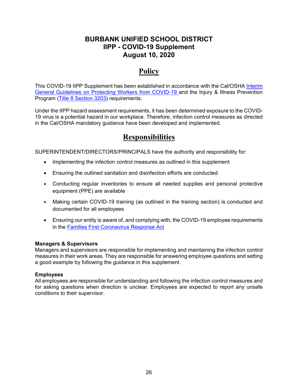### **BURBANK UNIFIED SCHOOL DISTRICT IIPP - COVID-19 Supplement August 10, 2020**

# **Policy**

This COVID-19 IIPP Supplement has been established in accordance with the Cal/OSHA Interim General Guidelines on Protecting Workers from COVID-19 and the Injury & Illness Prevention Program (Title 8 Section 3203) requirements.

Under the IIPP hazard assessment requirements, it has been determined exposure to the COVID-19 virus is a potential hazard in our workplace. Therefore, infection control measures as directed in the Cal/OSHA mandatory guidance have been developed and implemented.

## **Responsibilities**

SUPERINTENDENT/DIRECTORS/PRINCIPALS have the authority and responsibility for:

- Implementing the infection control measures as outlined in this supplement
- Ensuring the outlined sanitation and disinfection efforts are conducted
- Conducting regular inventories to ensure all needed supplies and personal protective equipment (PPE) are available
- Making certain COVID-19 training (as outlined in the training section) is conducted and documented for all employees
- Ensuring our entity is aware of, and complying with, the COVID-19 employee requirements in the Families First Coronavirus Response Act

#### **Managers & Supervisors**

Managers and supervisors are responsible for implementing and maintaining the infection control measures in their work areas. They are responsible for answering employee questions and setting a good example by following the guidance in this supplement.

#### **Employees**

All employees are responsible for understanding and following the infection control measures and for asking questions when direction is unclear. Employees are expected to report any unsafe conditions to their supervisor.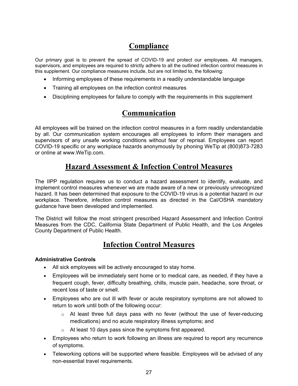# **Compliance**

Our primary goal is to prevent the spread of COVID-19 and protect our employees. All managers, supervisors, and employees are required to strictly adhere to all the outlined infection control measures in this supplement. Our compliance measures include, but are not limited to, the following:

- Informing employees of these requirements in a readily understandable language
- Training all employees on the infection control measures
- Disciplining employees for failure to comply with the requirements in this supplement

# **Communication**

All employees will be trained on the infection control measures in a form readily understandable by all. Our communication system encourages all employees to inform their managers and supervisors of any unsafe working conditions without fear of reprisal. Employees can report COVID-19 specific or any workplace hazards anonymously by phoning WeTip at (800)873-7283 or online at www.WeTip.com.

## **Hazard Assessment & Infection Control Measures**

The IIPP regulation requires us to conduct a hazard assessment to identify, evaluate, and implement control measures whenever we are made aware of a new or previously unrecognized hazard. It has been determined that exposure to the COVID-19 virus is a potential hazard in our workplace. Therefore, infection control measures as directed in the Cal/OSHA mandatory guidance have been developed and implemented.

The District will follow the most stringent prescribed Hazard Assessment and Infection Control Measures from the CDC, California State Department of Public Health, and the Los Angeles County Department of Public Health.

## **Infection Control Measures**

#### **Administrative Controls**

- All sick employees will be actively encouraged to stay home.
- Employees will be immediately sent home or to medical care, as needed, if they have a frequent cough, fever, difficulty breathing, chills, muscle pain, headache, sore throat, or recent loss of taste or smell.
- Employees who are out ill with fever or acute respiratory symptoms are not allowed to return to work until both of the following occur:
	- $\circ$  At least three full days pass with no fever (without the use of fever-reducing medications) and no acute respiratory illness symptoms; and
	- o At least 10 days pass since the symptoms first appeared.
- Employees who return to work following an illness are required to report any recurrence of symptoms.
- Teleworking options will be supported where feasible. Employees will be advised of any non-essential travel requirements.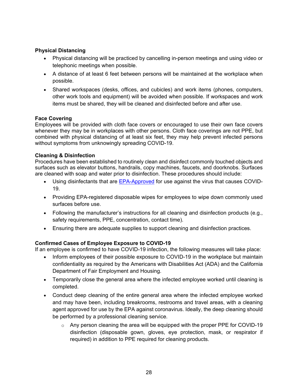#### **Physical Distancing**

- Physical distancing will be practiced by cancelling in-person meetings and using video or telephonic meetings when possible.
- A distance of at least 6 feet between persons will be maintained at the workplace when possible.
- Shared workspaces (desks, offices, and cubicles) and work items (phones, computers, other work tools and equipment) will be avoided when possible. If workspaces and work items must be shared, they will be cleaned and disinfected before and after use.

#### **Face Covering**

Employees will be provided with cloth face covers or encouraged to use their own face covers whenever they may be in workplaces with other persons. Cloth face coverings are not PPE, but combined with physical distancing of at least six feet, they may help prevent infected persons without symptoms from unknowingly spreading COVID-19.

#### **Cleaning & Disinfection**

Procedures have been established to routinely clean and disinfect commonly touched objects and surfaces such as elevator buttons, handrails, copy machines, faucets, and doorknobs. Surfaces are cleaned with soap and water prior to disinfection. These procedures should include:

- Using disinfectants that are **EPA-Approved** for use against the virus that causes COVID-19.
- Providing EPA-registered disposable wipes for employees to wipe down commonly used surfaces before use.
- Following the manufacturer's instructions for all cleaning and disinfection products (e.g., safety requirements, PPE, concentration, contact time).
- Ensuring there are adequate supplies to support cleaning and disinfection practices.

#### **Confirmed Cases of Employee Exposure to COVID-19**

If an employee is confirmed to have COVID-19 infection, the following measures will take place:

- Inform employees of their possible exposure to COVID-19 in the workplace but maintain confidentiality as required by the Americans with Disabilities Act (ADA) and the California Department of Fair Employment and Housing.
- Temporarily close the general area where the infected employee worked until cleaning is completed.
- Conduct deep cleaning of the entire general area where the infected employee worked and may have been, including breakrooms, restrooms and travel areas, with a cleaning agent approved for use by the EPA against coronavirus. Ideally, the deep cleaning should be performed by a professional cleaning service.
	- $\circ$  Any person cleaning the area will be equipped with the proper PPE for COVID-19 disinfection (disposable gown, gloves, eye protection, mask, or respirator if required) in addition to PPE required for cleaning products.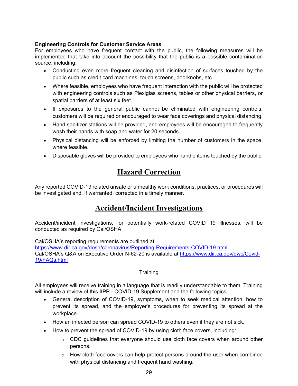#### **Engineering Controls for Customer Service Areas**

For employees who have frequent contact with the public, the following measures will be implemented that take into account the possibility that the public is a possible contamination source, including:

- Conducting even more frequent cleaning and disinfection of surfaces touched by the public such as credit card machines, touch screens, doorknobs, etc.
- Where feasible, employees who have frequent interaction with the public will be protected with engineering controls such as Plexiglas screens, tables or other physical barriers, or spatial barriers of at least six feet.
- If exposures to the general public cannot be eliminated with engineering controls, customers will be required or encouraged to wear face coverings and physical distancing.
- Hand sanitizer stations will be provided, and employees will be encouraged to frequently wash their hands with soap and water for 20 seconds.
- Physical distancing will be enforced by limiting the number of customers in the space, where feasible.
- Disposable gloves will be provided to employees who handle items touched by the public.

## **Hazard Correction**

Any reported COVID-19 related unsafe or unhealthy work conditions, practices, or procedures will be investigated and, if warranted, corrected in a timely manner.

## **Accident/Incident Investigations**

Accident/incident investigations, for potentially work-related COVID 19 illnesses, will be conducted as required by Cal/OSHA.

Cal/OSHA's reporting requirements are outlined at https://www.dir.ca.gov/dosh/coronavirus/Reporting-Requirements-COVID-19.html. Cal/OSHA's Q&A on Executive Order N-62-20 is available at https://www.dir.ca.gov/dwc/Covid-19/FAQs.html

#### **Training**

All employees will receive training in a language that is readily understandable to them. Training will include a review of this IIPP - COVID-19 Supplement and the following topics:

- General description of COVID-19, symptoms, when to seek medical attention, how to prevent its spread, and the employer's procedures for preventing its spread at the workplace.
- How an infected person can spread COVID-19 to others even if they are not sick.
- How to prevent the spread of COVID-19 by using cloth face covers, including:
	- $\circ$  CDC guidelines that everyone should use cloth face covers when around other persons.
	- $\circ$  How cloth face covers can help protect persons around the user when combined with physical distancing and frequent hand washing.